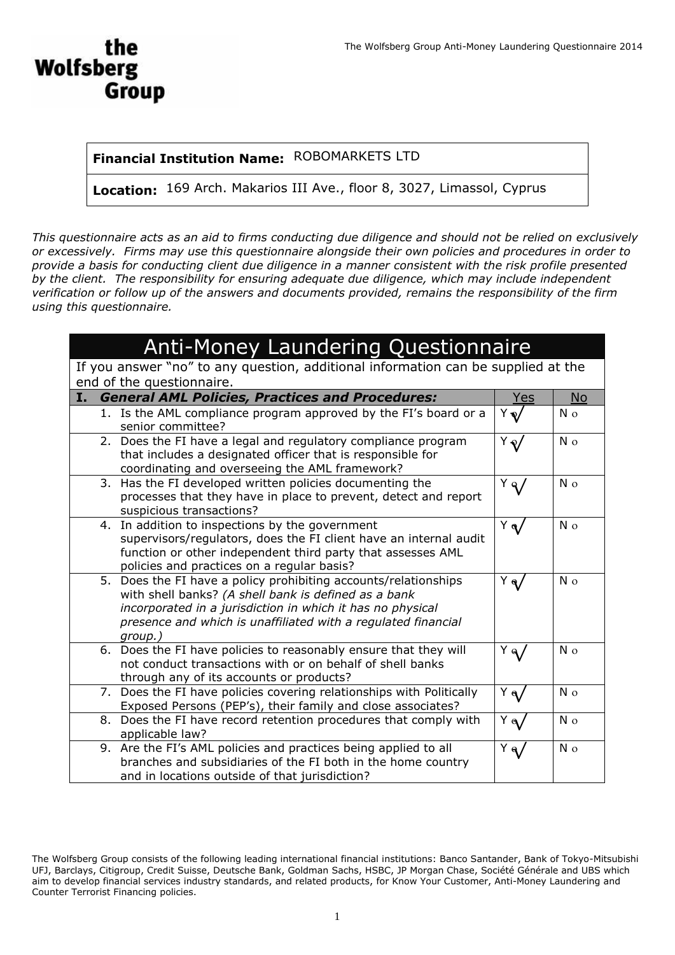# **Wolfsberg Group**

#### **Financial Institution Name:** ROBOMARKETS LTD

**Location:** 169 Arch. Makarios III Ave., floor 8, 3027, Limassol, Cyprus

*This questionnaire acts as an aid to firms conducting due diligence and should not be relied on exclusively or excessively. Firms may use this questionnaire alongside their own policies and procedures in order to provide a basis for conducting client due diligence in a manner consistent with the risk profile presented by the client. The responsibility for ensuring adequate due diligence, which may include independent verification or follow up of the answers and documents provided, remains the responsibility of the firm using this questionnaire.*

## Anti-Money Laundering Questionnaire

If you answer "no" to any question, additional information can be supplied at the end of the questionnaire.

| Ι. | <b>General AML Policies, Practices and Procedures:</b>                                                                                                                                                                                                            | Yes               | <b>No</b>      |
|----|-------------------------------------------------------------------------------------------------------------------------------------------------------------------------------------------------------------------------------------------------------------------|-------------------|----------------|
|    | 1. Is the AML compliance program approved by the FI's board or a<br>senior committee?                                                                                                                                                                             | Y                 | N <sub>o</sub> |
|    | 2. Does the FI have a legal and regulatory compliance program<br>that includes a designated officer that is responsible for<br>coordinating and overseeing the AML framework?                                                                                     | $Y_{\mathcal{N}}$ | N <sub>o</sub> |
|    | 3. Has the FI developed written policies documenting the<br>processes that they have in place to prevent, detect and report<br>suspicious transactions?                                                                                                           | $Y_{\mathbf{q}}$  | N o            |
|    | 4. In addition to inspections by the government<br>supervisors/regulators, does the FI client have an internal audit<br>function or other independent third party that assesses AML<br>policies and practices on a regular basis?                                 | $Y_{\mathbf{q}}$  | N <sub>o</sub> |
|    | 5. Does the FI have a policy prohibiting accounts/relationships<br>with shell banks? (A shell bank is defined as a bank<br>incorporated in a jurisdiction in which it has no physical<br>presence and which is unaffiliated with a regulated financial<br>group.) | $Y_{\mathbf{Q}}$  | $N_{\Omega}$   |
|    | 6. Does the FI have policies to reasonably ensure that they will<br>not conduct transactions with or on behalf of shell banks<br>through any of its accounts or products?                                                                                         | $Y_{\mathbf{q}}$  | $N_{\Omega}$   |
|    | 7. Does the FI have policies covering relationships with Politically<br>Exposed Persons (PEP's), their family and close associates?                                                                                                                               | $Y_{\mathbf{q}}$  | N <sub>o</sub> |
|    | 8. Does the FI have record retention procedures that comply with<br>applicable law?                                                                                                                                                                               | Υą                | N <sub>o</sub> |
|    | 9. Are the FI's AML policies and practices being applied to all<br>branches and subsidiaries of the FI both in the home country<br>and in locations outside of that jurisdiction?                                                                                 | Υą                | N o            |

The Wolfsberg Group consists of the following leading international financial institutions: Banco Santander, Bank of Tokyo-Mitsubishi UFJ, Barclays, Citigroup, Credit Suisse, Deutsche Bank, Goldman Sachs, HSBC, JP Morgan Chase, Société Générale and UBS which aim to develop financial services industry standards, and related products, for Know Your Customer, Anti-Money Laundering and Counter Terrorist Financing policies.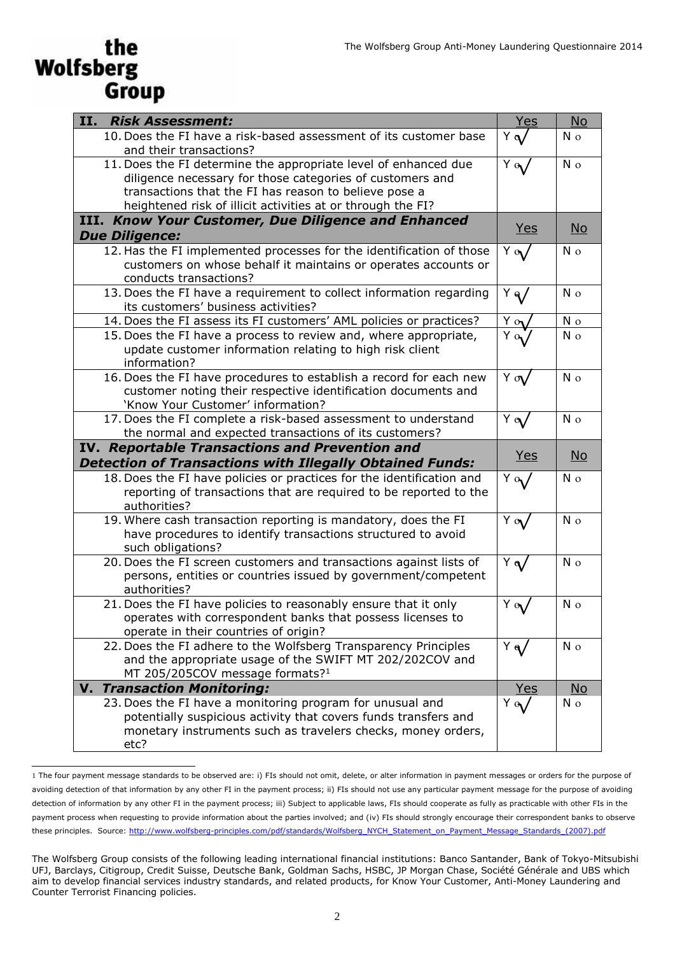### the **Wolfsberg** Group

| <b>II.</b> Risk Assessment:                                                                                                                                                                          | Yes              | <b>No</b>                 |
|------------------------------------------------------------------------------------------------------------------------------------------------------------------------------------------------------|------------------|---------------------------|
| 10. Does the FI have a risk-based assessment of its customer base<br>and their transactions?                                                                                                         | $Y \alpha$       | N <sub>o</sub>            |
| 11. Does the FI determine the appropriate level of enhanced due<br>diligence necessary for those categories of customers and                                                                         | $Y_{\alpha}$     | N <sub>o</sub>            |
| transactions that the FI has reason to believe pose a<br>heightened risk of illicit activities at or through the FI?                                                                                 |                  |                           |
| III. Know Your Customer, Due Diligence and Enhanced                                                                                                                                                  |                  |                           |
| <b>Due Diligence:</b>                                                                                                                                                                                | <u>Yes</u>       | $\underline{\mathsf{No}}$ |
| 12. Has the FI implemented processes for the identification of those<br>customers on whose behalf it maintains or operates accounts or<br>conducts transactions?                                     | $Y \alpha$       | N o                       |
| 13. Does the FI have a requirement to collect information regarding<br>its customers' business activities?                                                                                           | $Y_{\mathbf{q}}$ | N <sub>o</sub>            |
| 14. Does the FI assess its FI customers' AML policies or practices?                                                                                                                                  | $Y_{0}$          | N <sub>o</sub>            |
| 15. Does the FI have a process to review and, where appropriate,<br>update customer information relating to high risk client<br>information?                                                         | $Y_{0}$          | N <sub>o</sub>            |
| 16. Does the FI have procedures to establish a record for each new<br>customer noting their respective identification documents and<br>'Know Your Customer' information?                             | $Y \propto$      | N <sub>o</sub>            |
| 17. Does the FI complete a risk-based assessment to understand<br>the normal and expected transactions of its customers?                                                                             | $Y \alpha$       | N <sub>o</sub>            |
| <b>IV. Reportable Transactions and Prevention and</b>                                                                                                                                                |                  |                           |
| <b>Detection of Transactions with Illegally Obtained Funds:</b>                                                                                                                                      | <u>Yes</u>       | $\underline{\mathsf{No}}$ |
| 18. Does the FI have policies or practices for the identification and<br>reporting of transactions that are required to be reported to the<br>authorities?                                           | $Y \circ V$      | N <sub>o</sub>            |
| 19. Where cash transaction reporting is mandatory, does the FI<br>have procedures to identify transactions structured to avoid<br>such obligations?                                                  | $Y \alpha V$     | N o                       |
| 20. Does the FI screen customers and transactions against lists of<br>persons, entities or countries issued by government/competent<br>authorities?                                                  | $Y \alpha$       | N <sub>o</sub>            |
| 21. Does the FI have policies to reasonably ensure that it only<br>operates with correspondent banks that possess licenses to<br>operate in their countries of origin?                               | $Y_{\alpha}$     | N <sub>o</sub>            |
| 22. Does the FI adhere to the Wolfsberg Transparency Principles<br>and the appropriate usage of the SWIFT MT 202/202COV and<br>MT 205/205COV message formats? <sup>1</sup>                           | $Y_{\mathbf{q}}$ | N o                       |
| <b>V. Transaction Monitoring:</b>                                                                                                                                                                    | <b>Yes</b>       | <b>No</b>                 |
| 23. Does the FI have a monitoring program for unusual and<br>potentially suspicious activity that covers funds transfers and<br>monetary instruments such as travelers checks, money orders,<br>etc? | $Y \alpha$       | N o                       |

<sup>1</sup> The four payment message standards to be observed are: i) FIs should not omit, delete, or alter information in payment messages or orders for the purpose of avoiding detection of that information by any other FI in the payment process; ii) FIs should not use any particular payment message for the purpose of avoiding detection of information by any other FI in the payment process; iii) Subject to applicable laws, FIs should cooperate as fully as practicable with other FIs in the payment process when requesting to provide information about the parties involved; and (iv) FIs should strongly encourage their correspondent banks to observe these principles. Source: [http://www.wolfsberg-principles.com/pdf/standards/Wolfsberg\\_NYCH\\_Statement\\_on\\_Payment\\_Message\\_Standards\\_\(2007\).pdf](http://www.wolfsberg-principles.com/pdf/standards/Wolfsberg_NYCH_Statement_on_Payment_Message_Standards_(2007).pdf)

The Wolfsberg Group consists of the following leading international financial institutions: Banco Santander, Bank of Tokyo-Mitsubishi UFJ, Barclays, Citigroup, Credit Suisse, Deutsche Bank, Goldman Sachs, HSBC, JP Morgan Chase, Société Générale and UBS which aim to develop financial services industry standards, and related products, for Know Your Customer, Anti-Money Laundering and Counter Terrorist Financing policies.